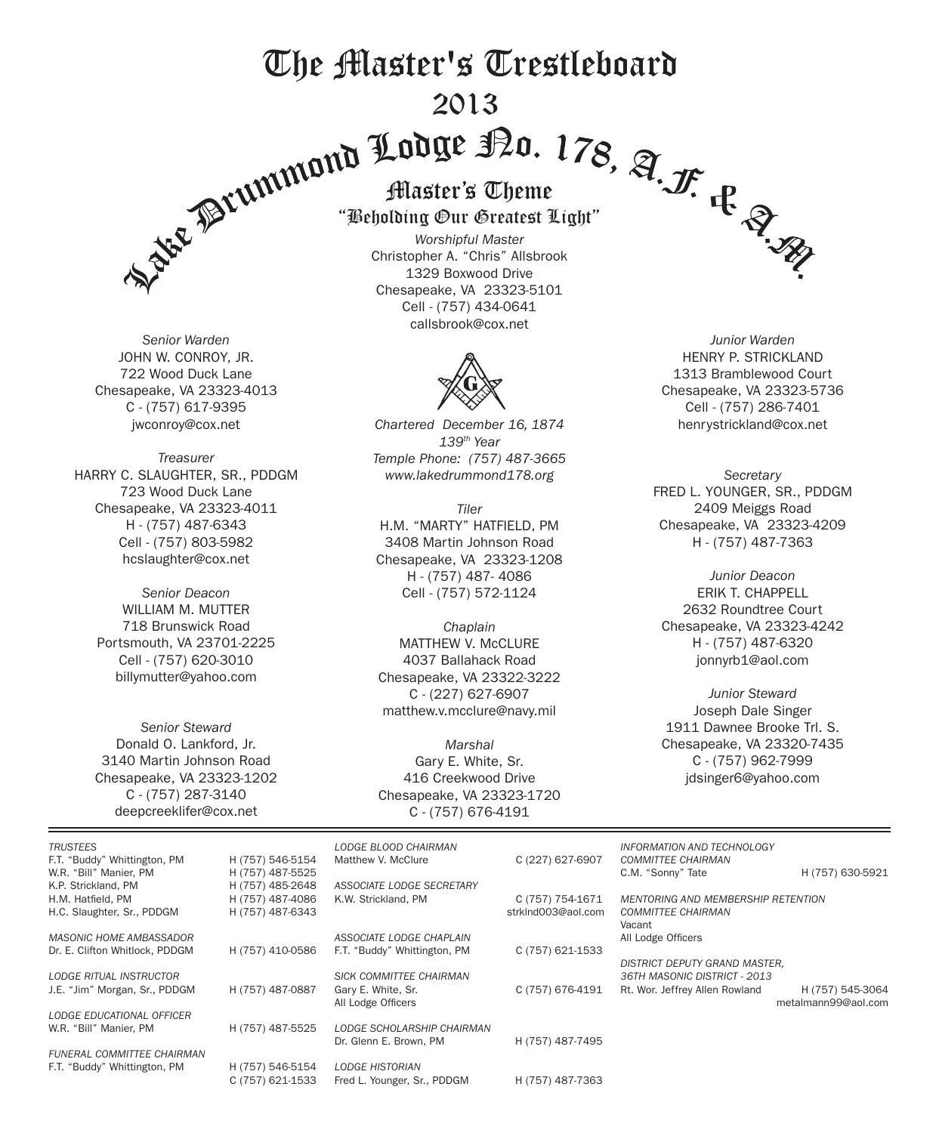# The Master's Trestleboard

# 2013



*Senior Warden* JOHN W. CONROY, JR. 722 Wood Duck Lane Chesapeake, VA 23323-4013 C - (757) 617-9395 jwconroy@cox.net

*Treasurer* HARRY C. SLAUGHTER, SR., PDDGM 723 Wood Duck Lane Chesapeake, VA 23323-4011 H - (757) 487-6343 Cell - (757) 803-5982 hcslaughter@cox.net

> *Senior Deacon* WILLIAM M. MUTTER 718 Brunswick Road Portsmouth, VA 23701-2225 Cell - (757) 620-3010 billymutter@yahoo.com

*Senior Steward* Donald O. Lankford, Jr. 3140 Martin Johnson Road Chesapeake, VA 23323-1202 C - (757) 287-3140 deepcreeklifer@cox.net

#### "Beholding Our Greatest Light"

*Worshipful Master* Christopher A. "Chris" Allsbrook 1329 Boxwood Drive Chesapeake, VA 23323-5101 Cell - (757) 434-0641 callsbrook@cox.net



*Chartered December 16, 1874 139th Year Temple Phone: (757) 487-3665 www.lakedrummond178.org*

*Tiler* H.M. "MARTY" HATFIELD, PM 3408 Martin Johnson Road Chesapeake, VA 23323-1208 H - (757) 487- 4086 Cell - (757) 572-1124

*Chaplain* MATTHEW V. McCLURE 4037 Ballahack Road Chesapeake, VA 23322-3222 C - (227) 627-6907 matthew.v.mcclure@navy.mil

*Marshal* Gary E. White, Sr. 416 Creekwood Drive Chesapeake, VA 23323-1720 C - (757) 676-4191

*Junior Warden* HENRY P. STRICKLAND 1313 Bramblewood Court Chesapeake, VA 23323-5736 Cell - (757) 286-7401 henrystrickland@cox.net

*Secretary* FRED L. YOUNGER, SR., PDDGM 2409 Meiggs Road Chesapeake, VA 23323-4209 H - (757) 487-7363

*Junior Deacon* ERIK T. CHAPPELL 2632 Roundtree Court Chesapeake, VA 23323-4242 H - (757) 487-6320 jonnyrb1@aol.com

*Junior Steward* Joseph Dale Singer 1911 Dawnee Brooke Trl. S. Chesapeake, VA 23320-7435 C - (757) 962-7999 jdsinger6@yahoo.com

| <b>TRUSTEES</b><br>F.T. "Buddy" Whittington, PM<br>W.R. "Bill" Manier, PM<br>K.P. Strickland, PM | H (757) 546-5154<br>H (757) 487-5525<br>H (757) 485-2648 | LODGE BLOOD CHAIRMAN<br>Matthew V. McClure<br>ASSOCIATE LODGE SECRETARY | C (227) 627-6907   | INFORMATION AND TECHNOLOGY<br><b>COMMITTEE CHAIRMAN</b><br>C.M. "Sonny" Tate | H (757) 630-5921                        |
|--------------------------------------------------------------------------------------------------|----------------------------------------------------------|-------------------------------------------------------------------------|--------------------|------------------------------------------------------------------------------|-----------------------------------------|
| H.M. Hatfield, PM                                                                                | H (757) 487-4086                                         | K.W. Strickland, PM                                                     | C (757) 754-1671   | MENTORING AND MEMBERSHIP RETENTION                                           |                                         |
| H.C. Slaughter, Sr., PDDGM                                                                       | H (757) 487-6343                                         |                                                                         | strkInd003@aol.com | <b>COMMITTEE CHAIRMAN</b><br>Vacant                                          |                                         |
| <b>MASONIC HOME AMBASSADOR</b>                                                                   |                                                          | ASSOCIATE LODGE CHAPLAIN                                                |                    | All Lodge Officers                                                           |                                         |
| Dr. E. Clifton Whitlock, PDDGM                                                                   | H (757) 410-0586                                         | F.T. "Buddy" Whittington, PM                                            | C (757) 621-1533   | DISTRICT DEPUTY GRAND MASTER,                                                |                                         |
| <b>LODGE RITUAL INSTRUCTOR</b>                                                                   |                                                          | SICK COMMITTEE CHAIRMAN                                                 |                    | 36TH MASONIC DISTRICT - 2013                                                 |                                         |
| J.E. "Jim" Morgan, Sr., PDDGM                                                                    | H (757) 487-0887                                         | Gary E. White, Sr.<br>All Lodge Officers                                | C (757) 676-4191   | Rt. Wor. Jeffrey Allen Rowland                                               | H (757) 545-3064<br>metalmann99@aol.com |
| LODGE EDUCATIONAL OFFICER                                                                        |                                                          |                                                                         |                    |                                                                              |                                         |
| W.R. "Bill" Manier, PM                                                                           | H (757) 487-5525                                         | LODGE SCHOLARSHIP CHAIRMAN                                              |                    |                                                                              |                                         |
|                                                                                                  |                                                          | Dr. Glenn E. Brown. PM                                                  | H (757) 487-7495   |                                                                              |                                         |
| <b>FUNERAL COMMITTEE CHAIRMAN</b>                                                                |                                                          |                                                                         |                    |                                                                              |                                         |
| F.T. "Buddy" Whittington, PM                                                                     | H (757) 546-5154                                         | <b>LODGE HISTORIAN</b>                                                  |                    |                                                                              |                                         |
|                                                                                                  | C (757) 621-1533                                         | Fred L. Younger, Sr., PDDGM                                             | H (757) 487-7363   |                                                                              |                                         |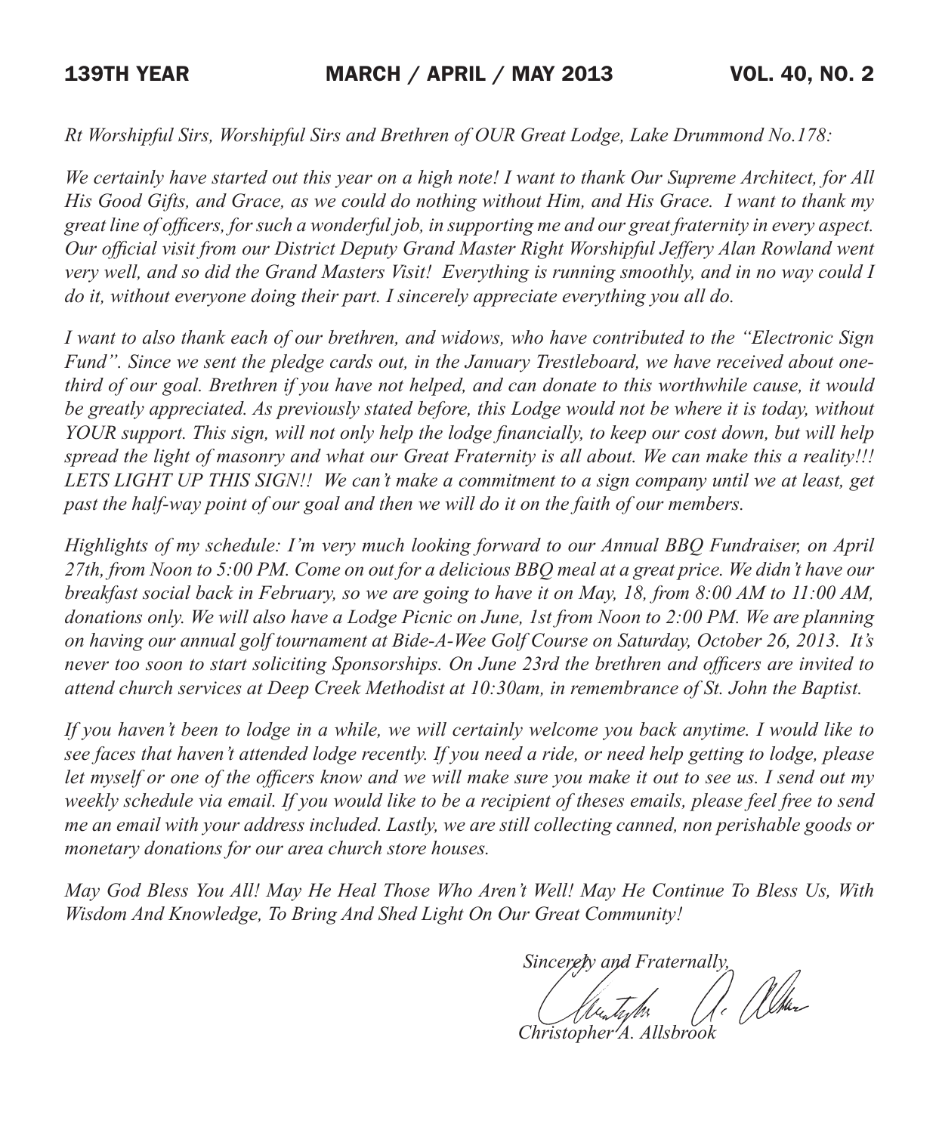*Rt Worshipful Sirs, Worshipful Sirs and Brethren of OUR Great Lodge, Lake Drummond No.178:* 

*We certainly have started out this year on a high note! I want to thank Our Supreme Architect, for All His Good Gifts, and Grace, as we could do nothing without Him, and His Grace. I want to thank my great line of officers, for such a wonderful job, in supporting me and our great fraternity in every aspect. Our official visit from our District Deputy Grand Master Right Worshipful Jeffery Alan Rowland went very well, and so did the Grand Masters Visit! Everything is running smoothly, and in no way could I do it, without everyone doing their part. I sincerely appreciate everything you all do.*

*I want to also thank each of our brethren, and widows, who have contributed to the "Electronic Sign Fund". Since we sent the pledge cards out, in the January Trestleboard, we have received about onethird of our goal. Brethren if you have not helped, and can donate to this worthwhile cause, it would be greatly appreciated. As previously stated before, this Lodge would not be where it is today, without YOUR support. This sign, will not only help the lodge financially, to keep our cost down, but will help spread the light of masonry and what our Great Fraternity is all about. We can make this a reality!!! LETS LIGHT UP THIS SIGN!! We can't make a commitment to a sign company until we at least, get past the half-way point of our goal and then we will do it on the faith of our members.*

*Highlights of my schedule: I'm very much looking forward to our Annual BBQ Fundraiser, on April 27th, from Noon to 5:00 PM. Come on out for a delicious BBQ meal at a great price. We didn't have our breakfast social back in February, so we are going to have it on May, 18, from 8:00 AM to 11:00 AM, donations only. We will also have a Lodge Picnic on June, 1st from Noon to 2:00 PM. We are planning on having our annual golf tournament at Bide-A-Wee Golf Course on Saturday, October 26, 2013. It's never too soon to start soliciting Sponsorships. On June 23rd the brethren and officers are invited to attend church services at Deep Creek Methodist at 10:30am, in remembrance of St. John the Baptist.*

*If you haven't been to lodge in a while, we will certainly welcome you back anytime. I would like to see faces that haven't attended lodge recently. If you need a ride, or need help getting to lodge, please let myself or one of the officers know and we will make sure you make it out to see us. I send out my weekly schedule via email. If you would like to be a recipient of theses emails, please feel free to send me an email with your address included. Lastly, we are still collecting canned, non perishable goods or monetary donations for our area church store houses.* 

*May God Bless You All! May He Heal Those Who Aren't Well! May He Continue To Bless Us, With Wisdom And Knowledge, To Bring And Shed Light On Our Great Community!* 

*Sincerely and Fraternally,*<br>(*Also Indus* 11. When

 *Christopher A. Allsbrook*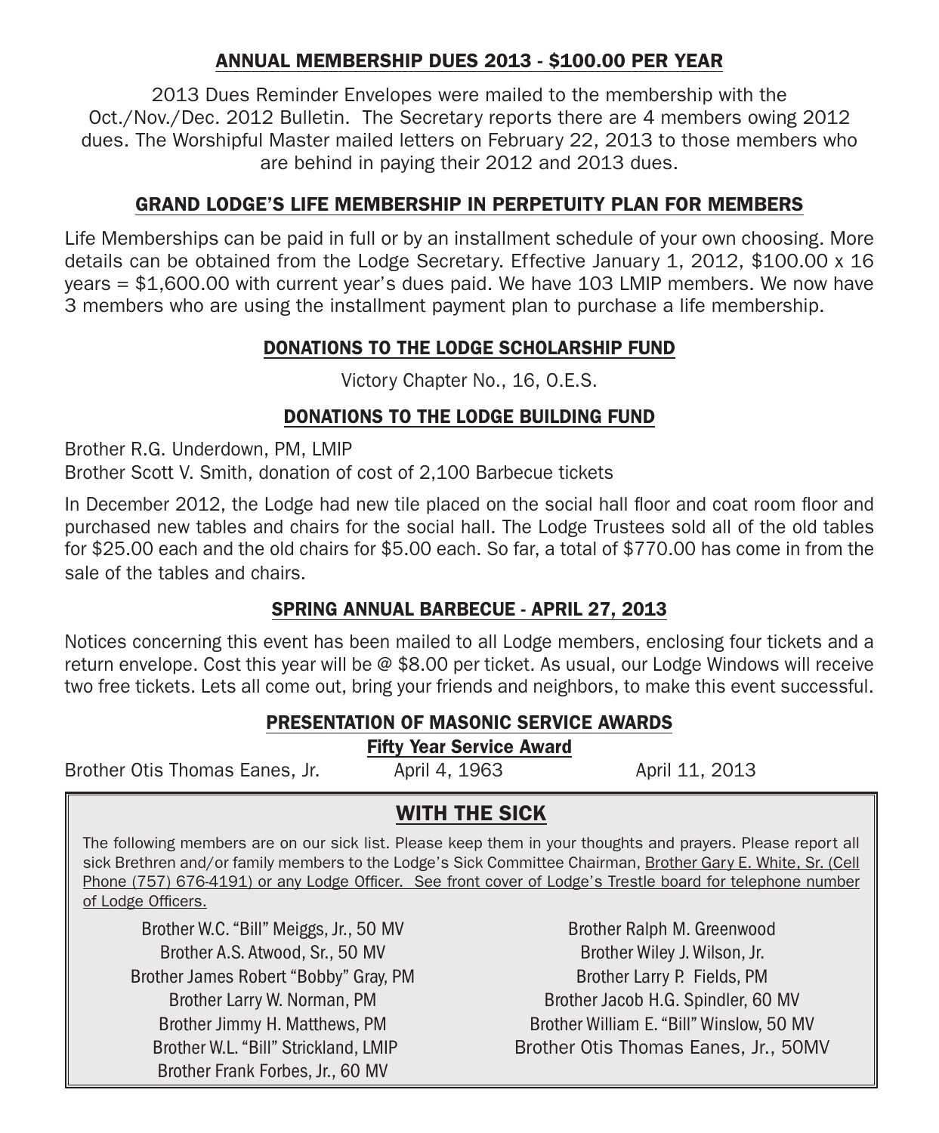#### ANNUAL MEMBERSHIP DUES 2013 - \$100.00 PER YEAR

2013 Dues Reminder Envelopes were mailed to the membership with the Oct./Nov./Dec. 2012 Bulletin. The Secretary reports there are 4 members owing 2012 dues. The Worshipful Master mailed letters on February 22, 2013 to those members who are behind in paying their 2012 and 2013 dues.

#### GRAND LODGE'S LIFE MEMBERSHIP IN PERPETUITY PLAN FOR MEMBERS

Life Memberships can be paid in full or by an installment schedule of your own choosing. More details can be obtained from the Lodge Secretary. Effective January 1, 2012, \$100.00 x 16 years = \$1,600.00 with current year's dues paid. We have 103 LMIP members. We now have 3 members who are using the installment payment plan to purchase a life membership.

#### DONATIONS TO THE LODGE SCHOLARSHIP FUND

Victory Chapter No., 16, O.E.S.

#### DONATIONS TO THE LODGE BUILDING FUND

Brother R.G. Underdown, PM, LMIP Brother Scott V. Smith, donation of cost of 2,100 Barbecue tickets

In December 2012, the Lodge had new tile placed on the social hall floor and coat room floor and purchased new tables and chairs for the social hall. The Lodge Trustees sold all of the old tables for \$25.00 each and the old chairs for \$5.00 each. So far, a total of \$770.00 has come in from the sale of the tables and chairs.

#### SPRING ANNUAL BARBECUE - APRIL 27, 2013

Notices concerning this event has been mailed to all Lodge members, enclosing four tickets and a return envelope. Cost this year will be @ \$8.00 per ticket. As usual, our Lodge Windows will receive two free tickets. Lets all come out, bring your friends and neighbors, to make this event successful.

#### PRESENTATION OF MASONIC SERVICE AWARDS

Fifty Year Service Award

Brother Otis Thomas Eanes, Jr. (April 4, 1963 April 11, 2013)

### WITH THE SICK

The following members are on our sick list. Please keep them in your thoughts and prayers. Please report all sick Brethren and/or family members to the Lodge's Sick Committee Chairman, Brother Gary E. White, Sr. (Cell Phone (757) 676-4191) or any Lodge Officer. See front cover of Lodge's Trestle board for telephone number of Lodge Officers.

Brother W.C. "Bill" Meiggs, Jr., 50 MV Brother A.S. Atwood, Sr., 50 MV Brother James Robert "Bobby" Gray, PM Brother Larry W. Norman, PM Brother Jimmy H. Matthews, PM Brother W.L. "Bill" Strickland, LMIP Brother Frank Forbes, Jr., 60 MV

Brother Ralph M. Greenwood Brother Wiley J. Wilson, Jr. Brother Larry P. Fields, PM Brother Jacob H.G. Spindler, 60 MV Brother William E. "Bill" Winslow, 50 MV Brother Otis Thomas Eanes, Jr., 50MV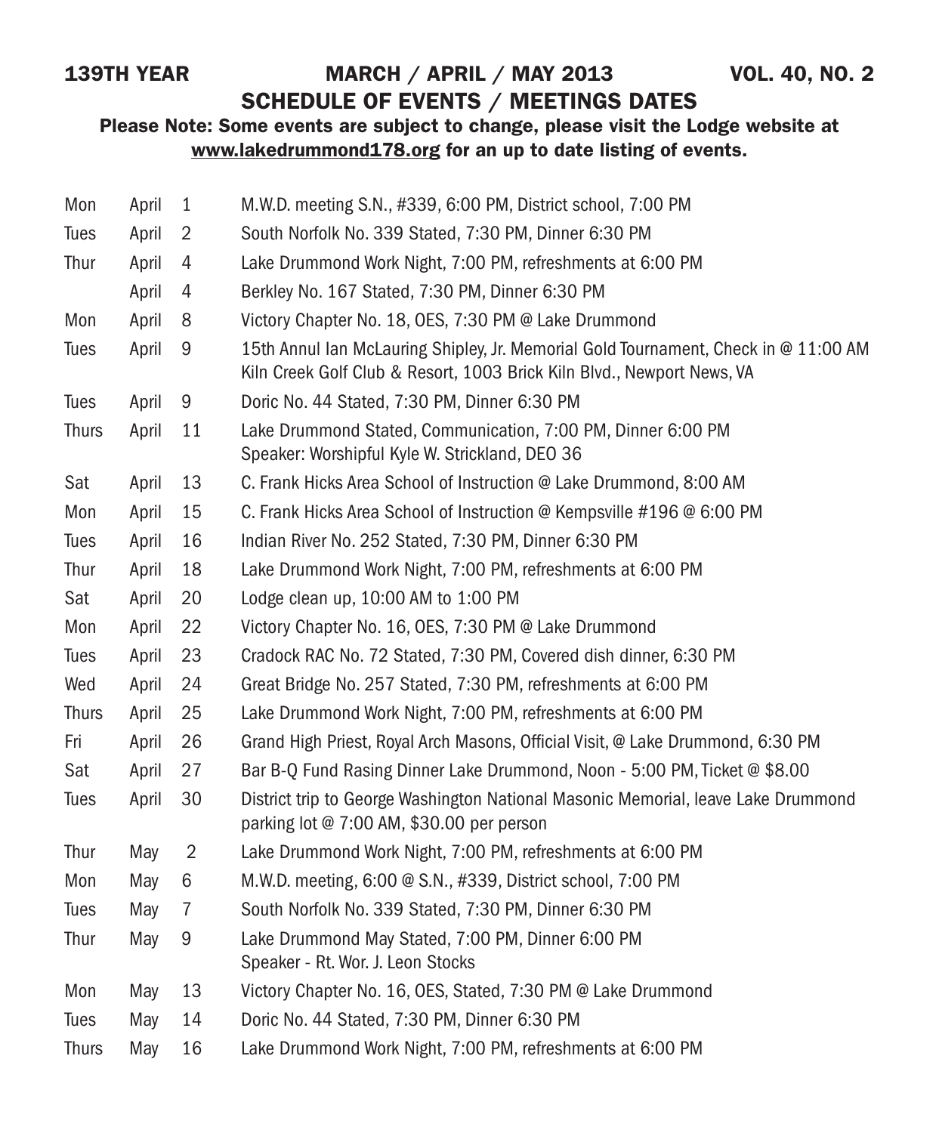# 139TH YEAR MARCH / APRIL / MAY 2013 VOL. 40, NO. 2

# SCHEDULE OF EVENTS / MEETINGS DATES

#### Please Note: Some events are subject to change, please visit the Lodge website at www.lakedrummond178.org for an up to date listing of events.

| Mon          | April | $\mathbf{1}$   | M.W.D. meeting S.N., #339, 6:00 PM, District school, 7:00 PM                                                                                                  |
|--------------|-------|----------------|---------------------------------------------------------------------------------------------------------------------------------------------------------------|
| Tues         | April | $\overline{2}$ | South Norfolk No. 339 Stated, 7:30 PM, Dinner 6:30 PM                                                                                                         |
| Thur         | April | 4              | Lake Drummond Work Night, 7:00 PM, refreshments at 6:00 PM                                                                                                    |
|              | April | 4              | Berkley No. 167 Stated, 7:30 PM, Dinner 6:30 PM                                                                                                               |
| Mon          | April | 8              | Victory Chapter No. 18, OES, 7:30 PM @ Lake Drummond                                                                                                          |
| Tues         | April | 9              | 15th Annul Ian McLauring Shipley, Jr. Memorial Gold Tournament, Check in @ 11:00 AM<br>Kiln Creek Golf Club & Resort, 1003 Brick Kiln Blvd., Newport News, VA |
| Tues         | April | 9              | Doric No. 44 Stated, 7:30 PM, Dinner 6:30 PM                                                                                                                  |
| <b>Thurs</b> | April | 11             | Lake Drummond Stated, Communication, 7:00 PM, Dinner 6:00 PM<br>Speaker: Worshipful Kyle W. Strickland, DEO 36                                                |
| Sat          | April | 13             | C. Frank Hicks Area School of Instruction @ Lake Drummond, 8:00 AM                                                                                            |
| Mon          | April | 15             | C. Frank Hicks Area School of Instruction @ Kempsville #196 @ 6:00 PM                                                                                         |
| Tues         | April | 16             | Indian River No. 252 Stated, 7:30 PM, Dinner 6:30 PM                                                                                                          |
| Thur         | April | 18             | Lake Drummond Work Night, 7:00 PM, refreshments at 6:00 PM                                                                                                    |
| Sat          | April | 20             | Lodge clean up, 10:00 AM to 1:00 PM                                                                                                                           |
| Mon          | April | 22             | Victory Chapter No. 16, OES, 7:30 PM @ Lake Drummond                                                                                                          |
| Tues         | April | 23             | Cradock RAC No. 72 Stated, 7:30 PM, Covered dish dinner, 6:30 PM                                                                                              |
| Wed          | April | 24             | Great Bridge No. 257 Stated, 7:30 PM, refreshments at 6:00 PM                                                                                                 |
| <b>Thurs</b> | April | 25             | Lake Drummond Work Night, 7:00 PM, refreshments at 6:00 PM                                                                                                    |
| Fri          | April | 26             | Grand High Priest, Royal Arch Masons, Official Visit, @ Lake Drummond, 6:30 PM                                                                                |
| Sat          | April | 27             | Bar B-Q Fund Rasing Dinner Lake Drummond, Noon - 5:00 PM, Ticket @ \$8.00                                                                                     |
| Tues         | April | 30             | District trip to George Washington National Masonic Memorial, leave Lake Drummond<br>parking lot @ 7:00 AM, \$30.00 per person                                |
| Thur         | May   | $\overline{2}$ | Lake Drummond Work Night, 7:00 PM, refreshments at 6:00 PM                                                                                                    |
| Mon          | May   | 6              | M.W.D. meeting, 6:00 @ S.N., #339, District school, 7:00 PM                                                                                                   |
| Tues         | May   | $\overline{7}$ | South Norfolk No. 339 Stated, 7:30 PM, Dinner 6:30 PM                                                                                                         |
| Thur         | May   | 9              | Lake Drummond May Stated, 7:00 PM, Dinner 6:00 PM<br>Speaker - Rt. Wor. J. Leon Stocks                                                                        |
| Mon          | May   | 13             | Victory Chapter No. 16, OES, Stated, 7:30 PM @ Lake Drummond                                                                                                  |
| Tues         | May   | 14             | Doric No. 44 Stated, 7:30 PM, Dinner 6:30 PM                                                                                                                  |
| <b>Thurs</b> | May   | 16             | Lake Drummond Work Night, 7:00 PM, refreshments at 6:00 PM                                                                                                    |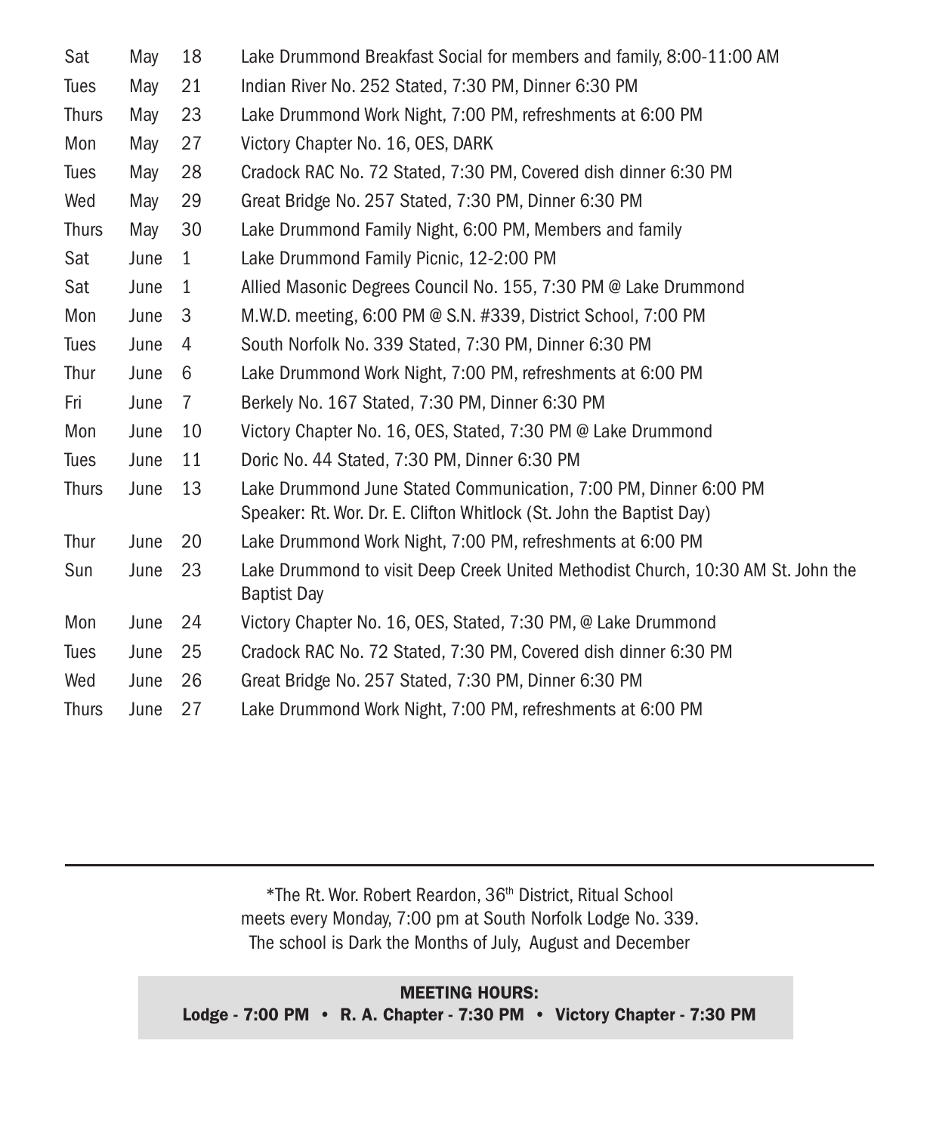| Sat          | May  | 18           | Lake Drummond Breakfast Social for members and family, 8:00-11:00 AM                                                                     |
|--------------|------|--------------|------------------------------------------------------------------------------------------------------------------------------------------|
| <b>Tues</b>  | May  | 21           | Indian River No. 252 Stated, 7:30 PM, Dinner 6:30 PM                                                                                     |
| <b>Thurs</b> | May  | 23           | Lake Drummond Work Night, 7:00 PM, refreshments at 6:00 PM                                                                               |
| Mon          | May  | 27           | Victory Chapter No. 16, OES, DARK                                                                                                        |
| <b>Tues</b>  | May  | 28           | Cradock RAC No. 72 Stated, 7:30 PM, Covered dish dinner 6:30 PM                                                                          |
| Wed          | May  | 29           | Great Bridge No. 257 Stated, 7:30 PM, Dinner 6:30 PM                                                                                     |
| <b>Thurs</b> | May  | 30           | Lake Drummond Family Night, 6:00 PM, Members and family                                                                                  |
| Sat          | June | $\mathbf{1}$ | Lake Drummond Family Picnic, 12-2:00 PM                                                                                                  |
| Sat          | June | $\mathbf{1}$ | Allied Masonic Degrees Council No. 155, 7:30 PM @ Lake Drummond                                                                          |
| Mon          | June | 3            | M.W.D. meeting, 6:00 PM @ S.N. #339, District School, 7:00 PM                                                                            |
| <b>Tues</b>  | June | 4            | South Norfolk No. 339 Stated, 7:30 PM, Dinner 6:30 PM                                                                                    |
| Thur         | June | 6            | Lake Drummond Work Night, 7:00 PM, refreshments at 6:00 PM                                                                               |
| Fri          | June | 7            | Berkely No. 167 Stated, 7:30 PM, Dinner 6:30 PM                                                                                          |
| Mon          | June | 10           | Victory Chapter No. 16, OES, Stated, 7:30 PM @ Lake Drummond                                                                             |
| Tues         | June | 11           | Doric No. 44 Stated, 7:30 PM, Dinner 6:30 PM                                                                                             |
| <b>Thurs</b> | June | 13           | Lake Drummond June Stated Communication, 7:00 PM, Dinner 6:00 PM<br>Speaker: Rt. Wor. Dr. E. Clifton Whitlock (St. John the Baptist Day) |
| Thur         | June | 20           | Lake Drummond Work Night, 7:00 PM, refreshments at 6:00 PM                                                                               |
| Sun          | June | 23           | Lake Drummond to visit Deep Creek United Methodist Church, 10:30 AM St. John the<br><b>Baptist Day</b>                                   |
| Mon          | June | 24           | Victory Chapter No. 16, OES, Stated, 7:30 PM, @ Lake Drummond                                                                            |
| Tues         | June | 25           | Cradock RAC No. 72 Stated, 7:30 PM, Covered dish dinner 6:30 PM                                                                          |
| Wed          | June | 26           | Great Bridge No. 257 Stated, 7:30 PM, Dinner 6:30 PM                                                                                     |
| <b>Thurs</b> | June | 27           | Lake Drummond Work Night, 7:00 PM, refreshments at 6:00 PM                                                                               |

\*The Rt. Wor. Robert Reardon, 36th District, Ritual School meets every Monday, 7:00 pm at South Norfolk Lodge No. 339. The school is Dark the Months of July, August and December

MEETING HOURS: Lodge - 7:00 PM • R. A. Chapter - 7:30 PM • Victory Chapter - 7:30 PM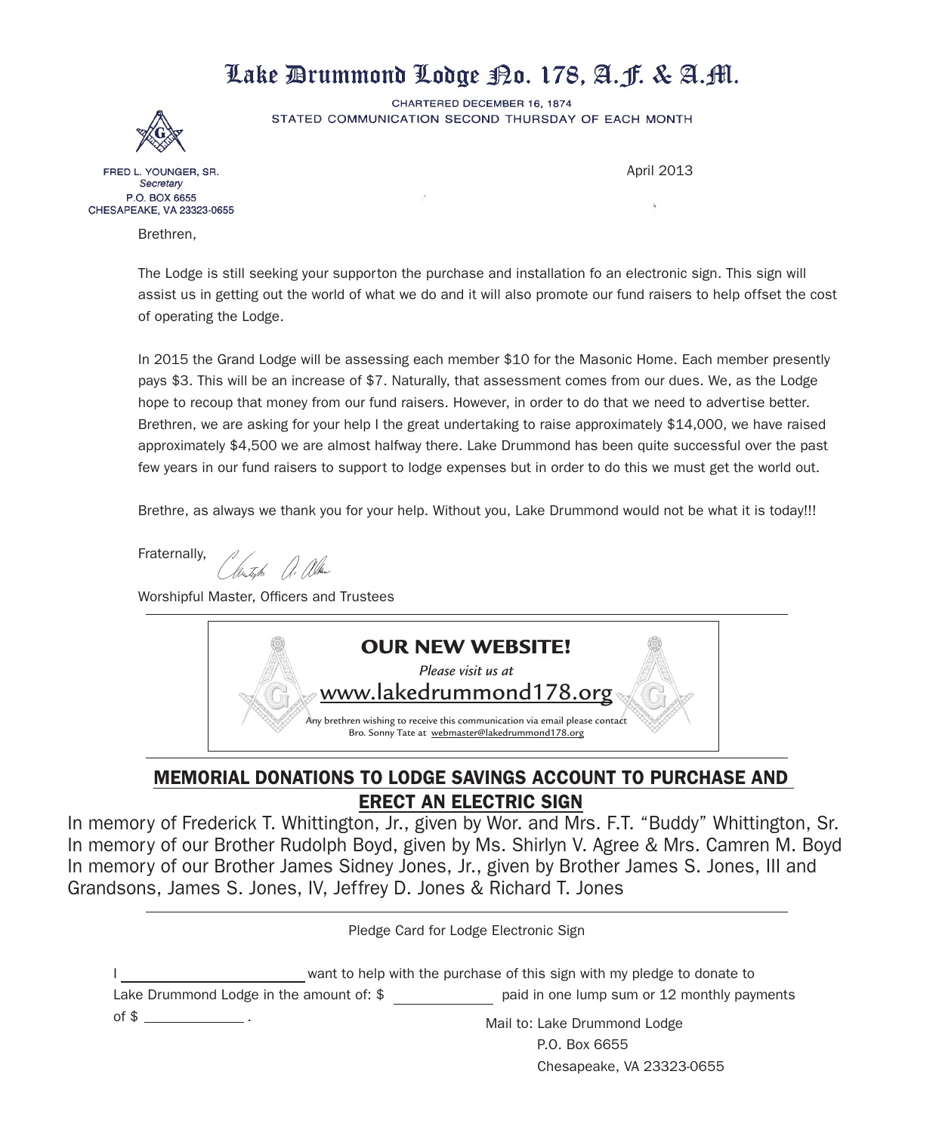# Lake Drummond Lodge Bo. 178, A. F. & A. M.

CHARTERED DECEMBER 16, 1874 STATED COMMUNICATION SECOND THURSDAY OF EACH MONTH



FRED L. YOUNGER, SR. Secretary P.O. BOX 6655 CHESAPEAKE, VA 23323-0655

Brethren,

April 2013

The Lodge is still seeking your supporton the purchase and installation fo an electronic sign. This sign will assist us in getting out the world of what we do and it will also promote our fund raisers to help offset the cost of operating the Lodge.

In 2015 the Grand Lodge will be assessing each member \$10 for the Masonic Home. Each member presently pays \$3. This will be an increase of \$7. Naturally, that assessment comes from our dues. We, as the Lodge hope to recoup that money from our fund raisers. However, in order to do that we need to advertise better. Brethren, we are asking for your help I the great undertaking to raise approximately \$14,000, we have raised approximately \$4,500 we are almost halfway there. Lake Drummond has been quite successful over the past few years in our fund raisers to support to lodge expenses but in order to do this we must get the world out.

Brethre, as always we thank you for your help. Without you, Lake Drummond would not be what it is today!!!

Fraternally,

Cléntyk . . Alka

Worshipful Master, Officers and Trustees



#### MEMORIAL DONATIONS TO LODGE SAVINGS ACCOUNT TO PURCHASE AND ERECT AN ELECTRIC SIGN

In memory of Frederick T. Whittington, Jr., given by Wor. and Mrs. F.T. "Buddy" Whittington, Sr. In memory of our Brother Rudolph Boyd, given by Ms. Shirlyn V. Agree & Mrs. Camren M. Boyd In memory of our Brother James Sidney Jones, Jr., given by Brother James S. Jones, III and Grandsons, James S. Jones, IV, Jeffrey D. Jones & Richard T. Jones

Pledge Card for Lodge Electronic Sign

want to help with the purchase of this sign with my pledge to donate to Lake Drummond Lodge in the amount of: \$ paid in one lump sum or 12 monthly payments of  $\frac{1}{2}$  . Mail to: Lake Drummond Lodge

P.O. Box 6655 Chesapeake, VA 23323-0655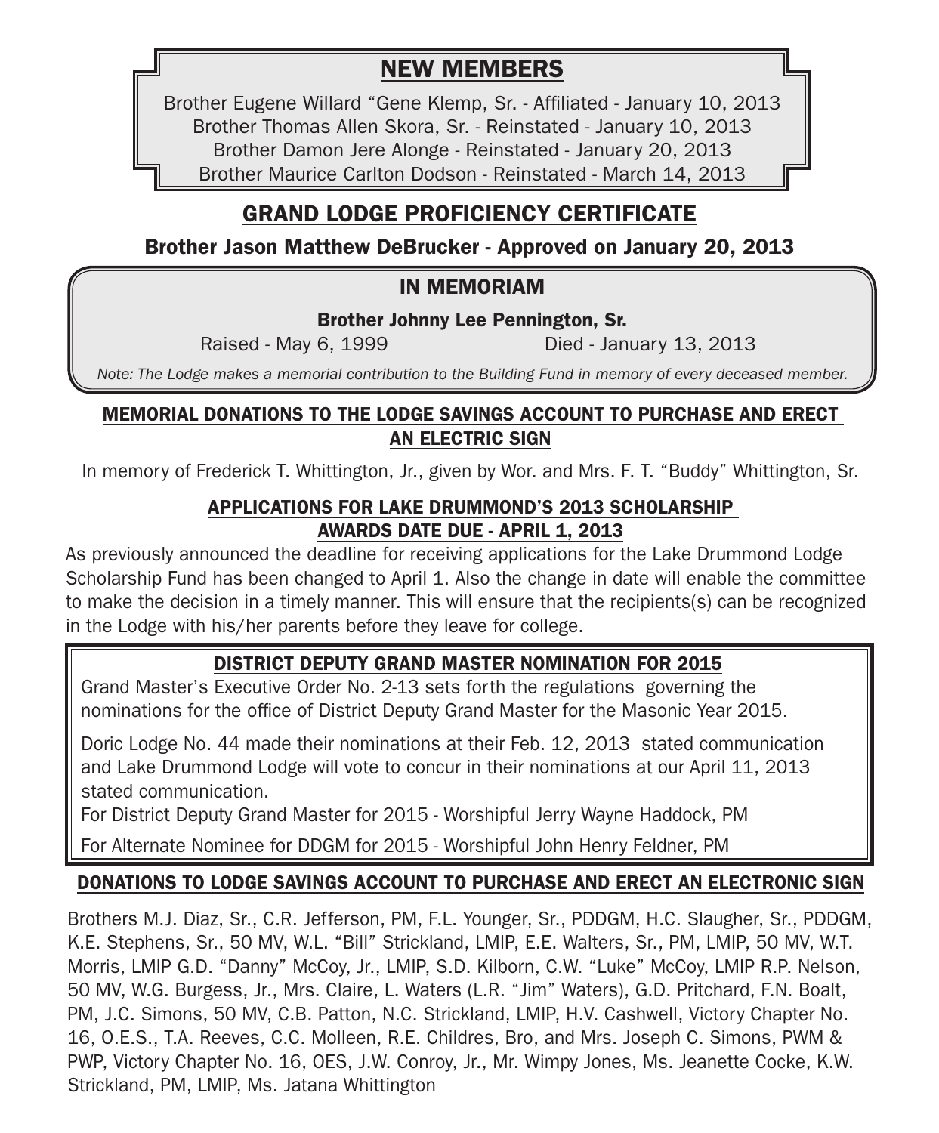# NEW MEMBERS

Brother Eugene Willard "Gene Klemp, Sr. - Affiliated - January 10, 2013 Brother Thomas Allen Skora, Sr. - Reinstated - January 10, 2013 Brother Damon Jere Alonge - Reinstated - January 20, 2013 Brother Maurice Carlton Dodson - Reinstated - March 14, 2013

# GRAND LODGE PROFICIENCY CERTIFICATE

Brother Jason Matthew DeBrucker - Approved on January 20, 2013

# IN MEMORIAM

Brother Johnny Lee Pennington, Sr.

Raised - May 6, 1999 Died - January 13, 2013

*Note: The Lodge makes a memorial contribution to the Building Fund in memory of every deceased member.*

#### MEMORIAL DONATIONS TO THE LODGE SAVINGS ACCOUNT TO PURCHASE AND ERECT AN ELECTRIC SIGN

In memory of Frederick T. Whittington, Jr., given by Wor. and Mrs. F. T. "Buddy" Whittington, Sr.

#### APPLICATIONS FOR LAKE DRUMMOND'S 2013 SCHOLARSHIP AWARDS DATE DUE - APRIL 1, 2013

As previously announced the deadline for receiving applications for the Lake Drummond Lodge Scholarship Fund has been changed to April 1. Also the change in date will enable the committee to make the decision in a timely manner. This will ensure that the recipients(s) can be recognized in the Lodge with his/her parents before they leave for college.

# DISTRICT DEPUTY GRAND MASTER NOMINATION FOR 2015

Grand Master's Executive Order No. 2-13 sets forth the regulations governing the nominations for the office of District Deputy Grand Master for the Masonic Year 2015.

Doric Lodge No. 44 made their nominations at their Feb. 12, 2013 stated communication and Lake Drummond Lodge will vote to concur in their nominations at our April 11, 2013 stated communication.

For District Deputy Grand Master for 2015 - Worshipful Jerry Wayne Haddock, PM

For Alternate Nominee for DDGM for 2015 - Worshipful John Henry Feldner, PM

### DONATIONS TO LODGE SAVINGS ACCOUNT TO PURCHASE AND ERECT AN ELECTRONIC SIGN

Brothers M.J. Diaz, Sr., C.R. Jefferson, PM, F.L. Younger, Sr., PDDGM, H.C. Slaugher, Sr., PDDGM, K.E. Stephens, Sr., 50 MV, W.L. "Bill" Strickland, LMIP, E.E. Walters, Sr., PM, LMIP, 50 MV, W.T. Morris, LMIP G.D. "Danny" McCoy, Jr., LMIP, S.D. Kilborn, C.W. "Luke" McCoy, LMIP R.P. Nelson, 50 MV, W.G. Burgess, Jr., Mrs. Claire, L. Waters (L.R. "Jim" Waters), G.D. Pritchard, F.N. Boalt, PM, J.C. Simons, 50 MV, C.B. Patton, N.C. Strickland, LMIP, H.V. Cashwell, Victory Chapter No. 16, O.E.S., T.A. Reeves, C.C. Molleen, R.E. Childres, Bro, and Mrs. Joseph C. Simons, PWM & PWP, Victory Chapter No. 16, OES, J.W. Conroy, Jr., Mr. Wimpy Jones, Ms. Jeanette Cocke, K.W. Strickland, PM, LMIP, Ms. Jatana Whittington